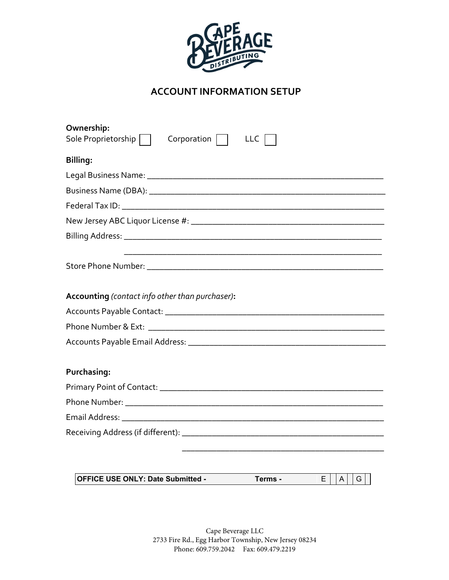

# **ACCOUNT INFORMATION SETUP**

| Ownership:                                                         |
|--------------------------------------------------------------------|
| Sole Proprietorship  <br>Corporation  <br><b>LLC</b>               |
| Billing:                                                           |
|                                                                    |
|                                                                    |
|                                                                    |
|                                                                    |
|                                                                    |
|                                                                    |
| Accounting (contact info other than purchaser):                    |
|                                                                    |
|                                                                    |
|                                                                    |
| Purchasing:                                                        |
|                                                                    |
|                                                                    |
|                                                                    |
|                                                                    |
|                                                                    |
| <b>OFFICE USE ONLY: Date Submitted -</b><br>Terms -<br>Е<br>A<br>G |